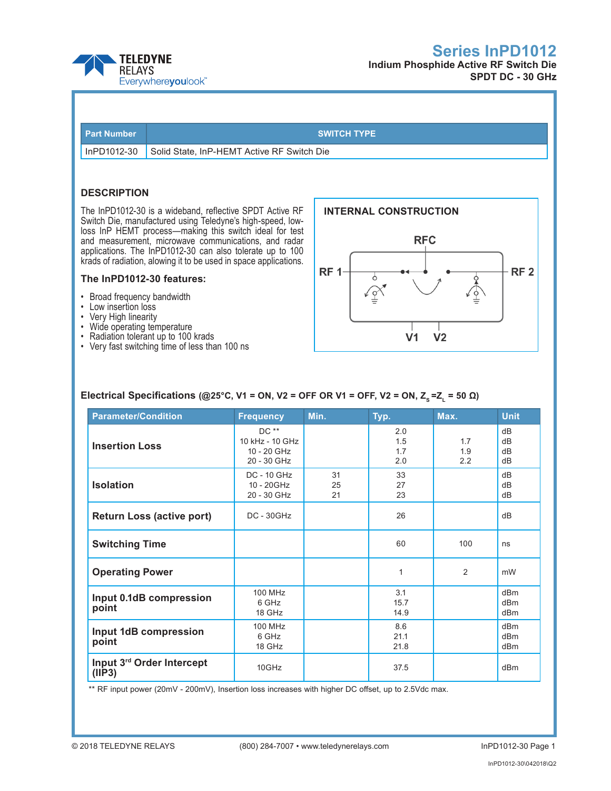



| <b>Part Number</b> |  |
|--------------------|--|
|                    |  |

#### **SWITCH TYPE**

InPD1012-30 Solid State, InP-HEMT Active RF Switch Die

### **DESCRIPTION**

The InPD1012-30 is a wideband, reflective SPDT Active RF Switch Die, manufactured using Teledyne's high-speed, lowloss InP HEMT process—making this switch ideal for test and measurement, microwave communications, and radar applications. The InPD1012-30 can also tolerate up to 100 krads of radiation, alowing it to be used in space applications.

#### **The InPD1012-30 features:**

- • Broad frequency bandwidth
- Low insertion loss
- • Very High linearity
- Wide operating temperature
- Radiation tolerant up to 100 krads
- • Very fast switching time of less than 100 ns



### **Electrical Specifications (@25°C, V1 = ON, V2 = OFF OR V1 = OFF, V2 = ON, Z<sub>s</sub> = Z<sub>1</sub> = 50 Ω)**

| <b>Parameter/Condition</b>                                          | <b>Frequency</b>                                        | Min.           | Typ.                     | Max.              | <b>Unit</b>                   |
|---------------------------------------------------------------------|---------------------------------------------------------|----------------|--------------------------|-------------------|-------------------------------|
| <b>Insertion Loss</b>                                               | $DC**$<br>10 kHz - 10 GHz<br>10 - 20 GHz<br>20 - 30 GHz |                | 2.0<br>1.5<br>1.7<br>2.0 | 1.7<br>1.9<br>2.2 | dB<br>dB<br>dB<br>dB          |
| <b>Isolation</b>                                                    | <b>DC - 10 GHz</b><br>10 - 20GHz<br>20 - 30 GHz         | 31<br>25<br>21 | 33<br>27<br>23           |                   | dB<br>dB<br>dB                |
| <b>Return Loss (active port)</b>                                    | $DC - 30GHz$                                            |                | 26                       |                   | dB                            |
| <b>Switching Time</b>                                               |                                                         |                | 60                       | 100               | ns                            |
| <b>Operating Power</b>                                              |                                                         |                | 1                        | 2                 | mW                            |
| Input 0.1dB compression<br>point                                    | 100 MHz<br>6 GHz<br>18 GHz                              |                | 3.1<br>15.7<br>14.9      |                   | dBm<br>dBm<br>dBm             |
| <b>100 MHz</b><br>Input 1dB compression<br>6 GHz<br>point<br>18 GHz |                                                         |                | 8.6<br>21.1<br>21.8      |                   | d <sub>Bm</sub><br>dBm<br>dBm |
| Input 3rd Order Intercept<br>(IIP3)                                 | 10GHz                                                   |                | 37.5                     |                   | dBm                           |

\*\* RF input power (20mV - 200mV), Insertion loss increases with higher DC offset, up to 2.5Vdc max.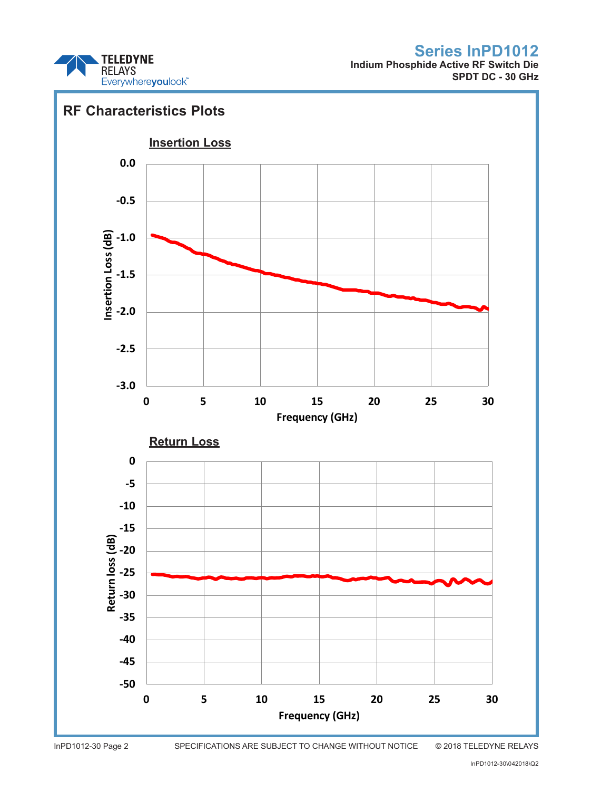

**Indium Phosphide Active RF Switch Die SPDT DC - 30 GHz**



InPD1012-30 Page 2 SPECIFICATIONS ARE SUBJECT TO CHANGE WITHOUT NOTICE © 2018 TELEDYNE RELAYS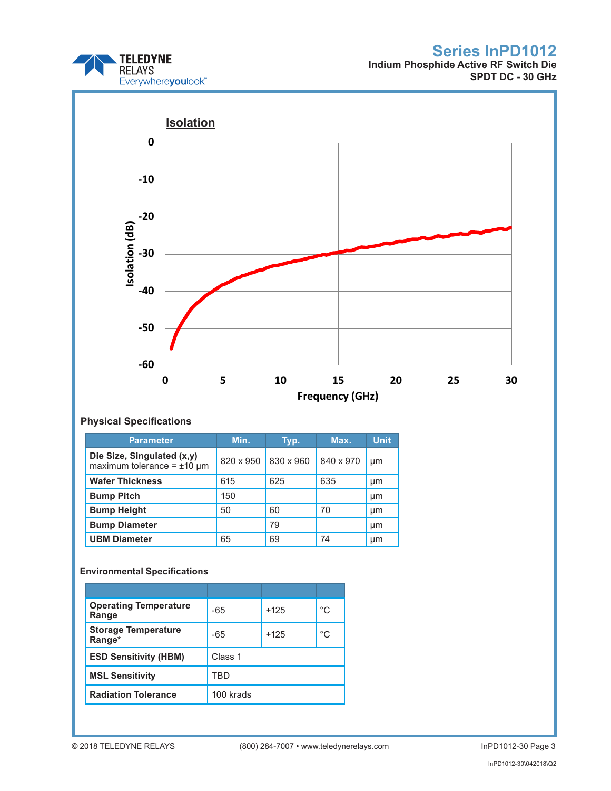

**Indium Phosphide Active RF Switch Die SPDT DC - 30 GHz**



### **Physical Specifications**

| <b>Parameter</b>                                                 | Min.      | Typ.      | Max.      | <b>Unit</b> |
|------------------------------------------------------------------|-----------|-----------|-----------|-------------|
| Die Size, Singulated (x,y)<br>maximum tolerance = $\pm 10 \mu$ m | 820 x 950 | 830 x 960 | 840 x 970 | µm          |
| <b>Wafer Thickness</b>                                           | 615       | 625       | 635       | µm          |
| <b>Bump Pitch</b>                                                | 150       |           |           | µm          |
| <b>Bump Height</b>                                               | 50        | 60        | 70        | µm          |
| <b>Bump Diameter</b>                                             |           | 79        |           | µm          |
| <b>UBM Diameter</b>                                              | 65        | 69        | 74        | µm          |

### **Environmental Specifications**

| <b>Operating Temperature</b><br>Range | -65       | $+125$ | °C |
|---------------------------------------|-----------|--------|----|
| <b>Storage Temperature</b><br>Range*  | $-65$     | $+125$ | °C |
| <b>ESD Sensitivity (HBM)</b>          | Class 1   |        |    |
| <b>MSL Sensitivity</b>                | TRD       |        |    |
| <b>Radiation Tolerance</b>            | 100 krads |        |    |